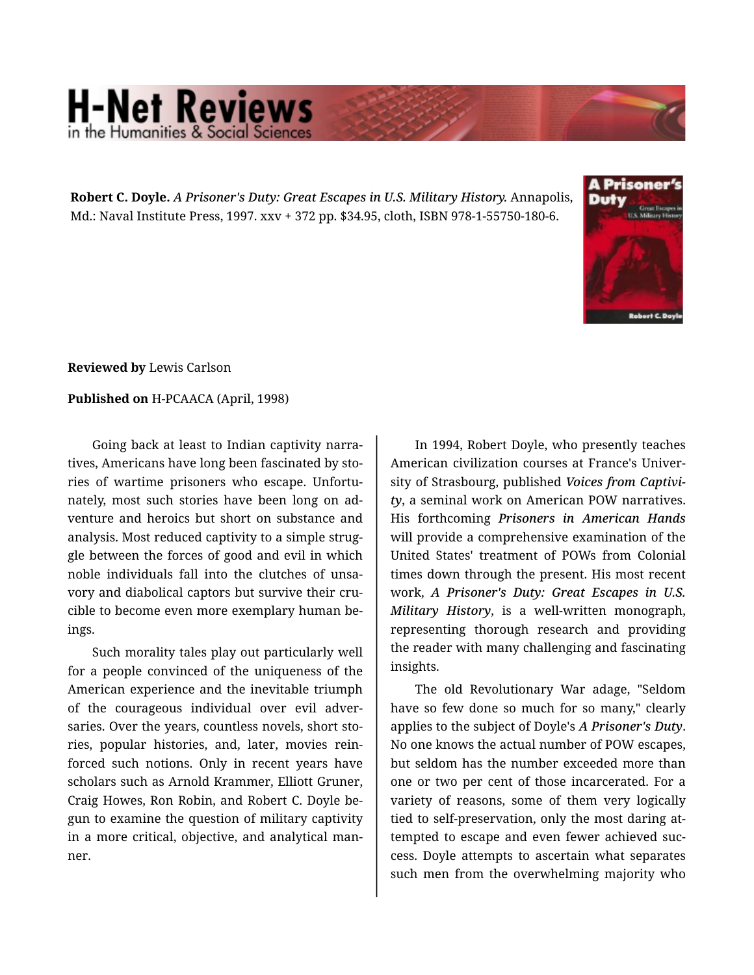## **H-Net Reviews** in the Humanities & Social Scie

**Robert C. Doyle.** *A Prisoner's Duty: Great Escapes in U.S. Military History.* Annapolis, Md.: Naval Institute Press, 1997. xxv + 372 pp. \$34.95, cloth, ISBN 978-1-55750-180-6.



**Reviewed by** Lewis Carlson

## **Published on** H-PCAACA (April, 1998)

Going back at least to Indian captivity narra‐ tives, Americans have long been fascinated by sto‐ ries of wartime prisoners who escape. Unfortu‐ nately, most such stories have been long on ad‐ venture and heroics but short on substance and analysis. Most reduced captivity to a simple strug‐ gle between the forces of good and evil in which noble individuals fall into the clutches of unsa‐ vory and diabolical captors but survive their crucible to become even more exemplary human be‐ ings.

Such morality tales play out particularly well for a people convinced of the uniqueness of the American experience and the inevitable triumph of the courageous individual over evil adver‐ saries. Over the years, countless novels, short stories, popular histories, and, later, movies rein‐ forced such notions. Only in recent years have scholars such as Arnold Krammer, Elliott Gruner, Craig Howes, Ron Robin, and Robert C. Doyle be‐ gun to examine the question of military captivity in a more critical, objective, and analytical man‐ ner.

In 1994, Robert Doyle, who presently teaches American civilization courses at France's Univer‐ sity of Strasbourg, published *Voices from Captivi‐ ty*, a seminal work on American POW narratives. His forthcoming *Prisoners in American Hands* will provide a comprehensive examination of the United States' treatment of POWs from Colonial times down through the present. His most recent work, *A Prisoner's Duty: Great Escapes in U.S. Military History*, is a well-written monograph, representing thorough research and providing the reader with many challenging and fascinating insights.

The old Revolutionary War adage, "Seldom have so few done so much for so many," clearly applies to the subject of Doyle's *A Prisoner's Duty*. No one knows the actual number of POW escapes, but seldom has the number exceeded more than one or two per cent of those incarcerated. For a variety of reasons, some of them very logically tied to self-preservation, only the most daring at‐ tempted to escape and even fewer achieved suc‐ cess. Doyle attempts to ascertain what separates such men from the overwhelming majority who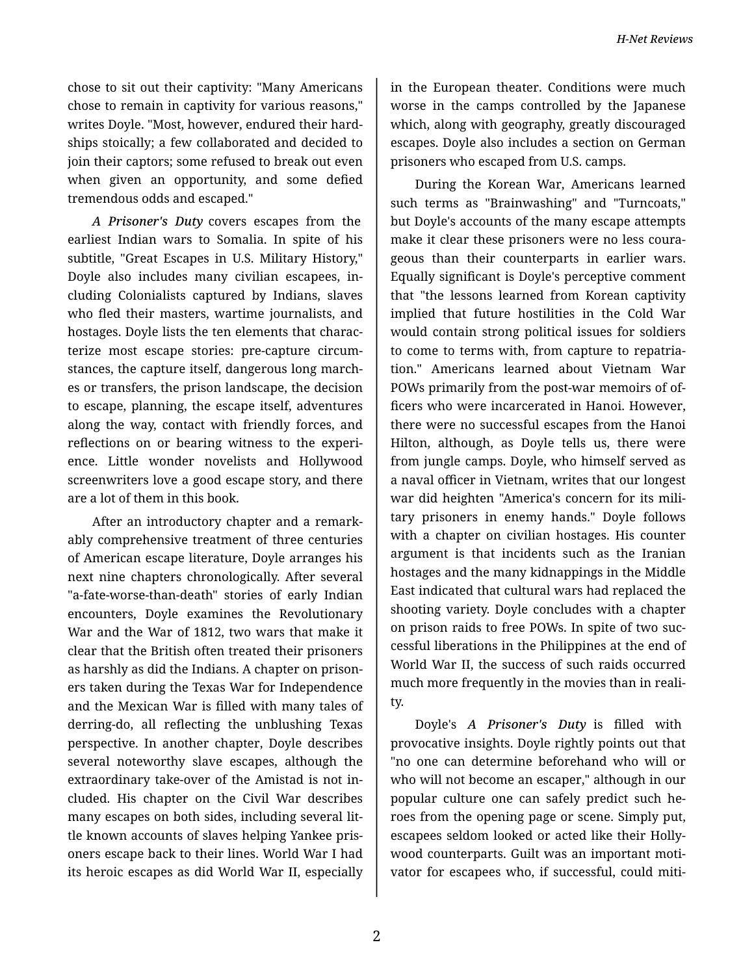chose to sit out their captivity: "Many Americans chose to remain in captivity for various reasons," writes Doyle. "Most, however, endured their hard‐ ships stoically; a few collaborated and decided to join their captors; some refused to break out even when given an opportunity, and some defied tremendous odds and escaped."

*A Prisoner's Duty* covers escapes from the earliest Indian wars to Somalia. In spite of his subtitle, "Great Escapes in U.S. Military History," Doyle also includes many civilian escapees, in‐ cluding Colonialists captured by Indians, slaves who fled their masters, wartime journalists, and hostages. Doyle lists the ten elements that charac‐ terize most escape stories: pre-capture circum‐ stances, the capture itself, dangerous long march‐ es or transfers, the prison landscape, the decision to escape, planning, the escape itself, adventures along the way, contact with friendly forces, and reflections on or bearing witness to the experi‐ ence. Little wonder novelists and Hollywood screenwriters love a good escape story, and there are a lot of them in this book.

After an introductory chapter and a remark‐ ably comprehensive treatment of three centuries of American escape literature, Doyle arranges his next nine chapters chronologically. After several "a-fate-worse-than-death" stories of early Indian encounters, Doyle examines the Revolutionary War and the War of 1812, two wars that make it clear that the British often treated their prisoners as harshly as did the Indians. A chapter on prison‐ ers taken during the Texas War for Independence and the Mexican War is filled with many tales of derring-do, all reflecting the unblushing Texas perspective. In another chapter, Doyle describes several noteworthy slave escapes, although the extraordinary take-over of the Amistad is not in‐ cluded. His chapter on the Civil War describes many escapes on both sides, including several lit‐ tle known accounts of slaves helping Yankee pris‐ oners escape back to their lines. World War I had its heroic escapes as did World War II, especially

in the European theater. Conditions were much worse in the camps controlled by the Japanese which, along with geography, greatly discouraged escapes. Doyle also includes a section on German prisoners who escaped from U.S. camps.

During the Korean War, Americans learned such terms as "Brainwashing" and "Turncoats," but Doyle's accounts of the many escape attempts make it clear these prisoners were no less coura‐ geous than their counterparts in earlier wars. Equally significant is Doyle's perceptive comment that "the lessons learned from Korean captivity implied that future hostilities in the Cold War would contain strong political issues for soldiers to come to terms with, from capture to repatria‐ tion." Americans learned about Vietnam War POWs primarily from the post-war memoirs of of‐ ficers who were incarcerated in Hanoi. However, there were no successful escapes from the Hanoi Hilton, although, as Doyle tells us, there were from jungle camps. Doyle, who himself served as a naval officer in Vietnam, writes that our longest war did heighten "America's concern for its mili‐ tary prisoners in enemy hands." Doyle follows with a chapter on civilian hostages. His counter argument is that incidents such as the Iranian hostages and the many kidnappings in the Middle East indicated that cultural wars had replaced the shooting variety. Doyle concludes with a chapter on prison raids to free POWs. In spite of two suc‐ cessful liberations in the Philippines at the end of World War II, the success of such raids occurred much more frequently in the movies than in reali‐ ty.

Doyle's *A Prisoner's Duty* is filled with provocative insights. Doyle rightly points out that "no one can determine beforehand who will or who will not become an escaper," although in our popular culture one can safely predict such he‐ roes from the opening page or scene. Simply put, escapees seldom looked or acted like their Holly‐ wood counterparts. Guilt was an important moti‐ vator for escapees who, if successful, could miti‐

2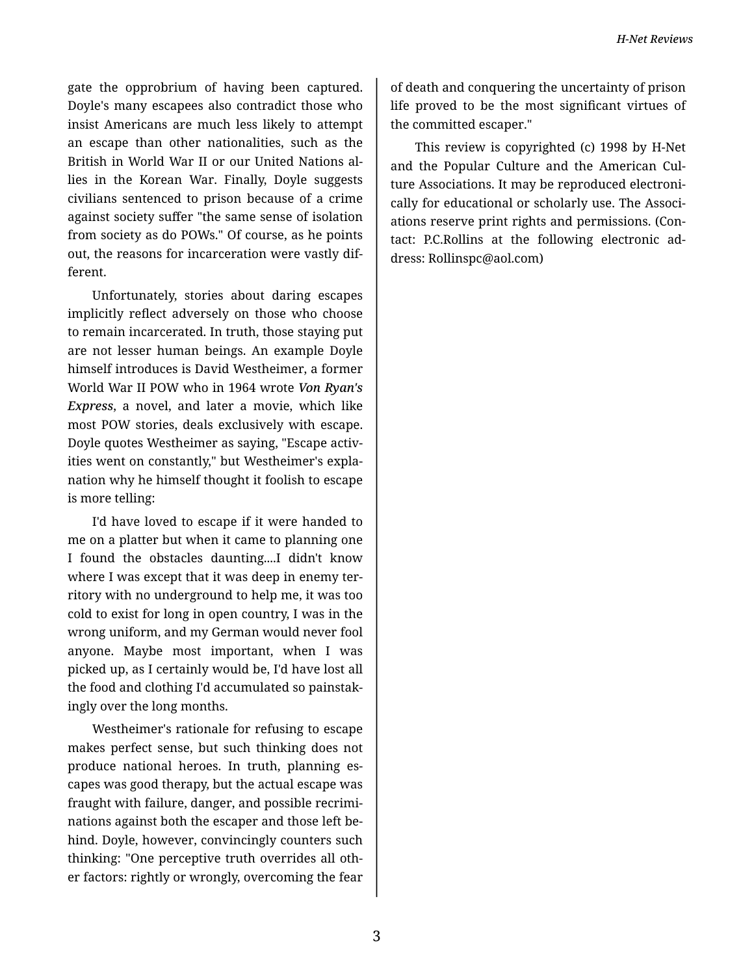gate the opprobrium of having been captured. Doyle's many escapees also contradict those who insist Americans are much less likely to attempt an escape than other nationalities, such as the British in World War II or our United Nations al‐ lies in the Korean War. Finally, Doyle suggests civilians sentenced to prison because of a crime against society suffer "the same sense of isolation from society as do POWs." Of course, as he points out, the reasons for incarceration were vastly dif‐ ferent.

Unfortunately, stories about daring escapes implicitly reflect adversely on those who choose to remain incarcerated. In truth, those staying put are not lesser human beings. An example Doyle himself introduces is David Westheimer, a former World War II POW who in 1964 wrote *Von Ryan's Express*, a novel, and later a movie, which like most POW stories, deals exclusively with escape. Doyle quotes Westheimer as saying, "Escape activ‐ ities went on constantly," but Westheimer's expla‐ nation why he himself thought it foolish to escape is more telling:

I'd have loved to escape if it were handed to me on a platter but when it came to planning one I found the obstacles daunting....I didn't know where I was except that it was deep in enemy territory with no underground to help me, it was too cold to exist for long in open country, I was in the wrong uniform, and my German would never fool anyone. Maybe most important, when I was picked up, as I certainly would be, I'd have lost all the food and clothing I'd accumulated so painstak‐ ingly over the long months.

Westheimer's rationale for refusing to escape makes perfect sense, but such thinking does not produce national heroes. In truth, planning es‐ capes was good therapy, but the actual escape was fraught with failure, danger, and possible recrimi‐ nations against both the escaper and those left be‐ hind. Doyle, however, convincingly counters such thinking: "One perceptive truth overrides all oth‐ er factors: rightly or wrongly, overcoming the fear

of death and conquering the uncertainty of prison life proved to be the most significant virtues of the committed escaper."

This review is copyrighted (c) 1998 by H-Net and the Popular Culture and the American Cul‐ ture Associations. It may be reproduced electroni‐ cally for educational or scholarly use. The Associ‐ ations reserve print rights and permissions. (Con‐ tact: P.C.Rollins at the following electronic ad‐ dress: Rollinspc@aol.com)